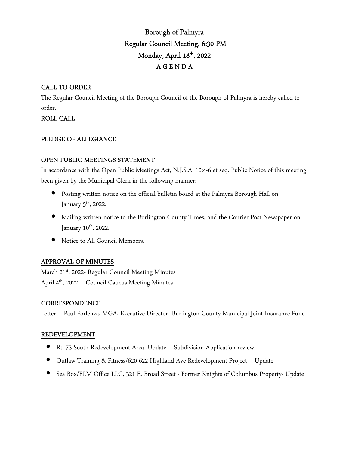# Borough of Palmyra Regular Council Meeting, 6:30 PM Monday, April 18th, 2022 A G E N D A

## CALL TO ORDER

The Regular Council Meeting of the Borough Council of the Borough of Palmyra is hereby called to order.

# ROLL CALL

## PLEDGE OF ALLEGIANCE

## OPEN PUBLIC MEETINGS STATEMENT

In accordance with the Open Public Meetings Act, N.J.S.A. 10:4-6 et seq. Public Notice of this meeting been given by the Municipal Clerk in the following manner:

- Posting written notice on the official bulletin board at the Palmyra Borough Hall on January  $5^{\text{th}}$ , 2022.
- Mailing written notice to the Burlington County Times, and the Courier Post Newspaper on January 10<sup>th</sup>, 2022.
- Notice to All Council Members.

## APPROVAL OF MINUTES

March 21<sup>st</sup>, 2022- Regular Council Meeting Minutes April 4th, 2022 – Council Caucus Meeting Minutes

## **CORRESPONDENCE**

Letter – Paul Forlenza, MGA, Executive Director- Burlington County Municipal Joint Insurance Fund

#### REDEVELOPMENT

- Rt. 73 South Redevelopment Area- Update Subdivision Application review
- Outlaw Training & Fitness/620-622 Highland Ave Redevelopment Project Update
- Sea Box/ELM Office LLC, 321 E. Broad Street Former Knights of Columbus Property- Update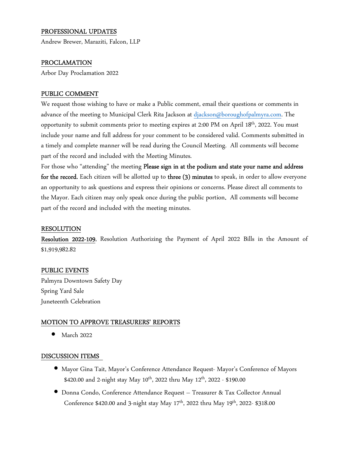## PROFESSIONAL UPDATES

Andrew Brewer, Maraziti, Falcon, LLP

## PROCLAMATION

Arbor Day Proclamation 2022

#### PUBLIC COMMENT

We request those wishing to have or make a Public comment, email their questions or comments in advance of the meeting to Municipal Clerk Rita Jackson at djackson@boroughofpalmyra.com. The opportunity to submit comments prior to meeting expires at 2:00 PM on April 18<sup>th</sup>, 2022. You must include your name and full address for your comment to be considered valid. Comments submitted in a timely and complete manner will be read during the Council Meeting. All comments will become part of the record and included with the Meeting Minutes.

For those who "attending" the meeting Please sign in at the podium and state your name and address for the record. Each citizen will be allotted up to three (3) minutes to speak, in order to allow everyone an opportunity to ask questions and express their opinions or concerns. Please direct all comments to the Mayor. Each citizen may only speak once during the public portion. All comments will become part of the record and included with the meeting minutes.

#### RESOLUTION

Resolution 2022-109, Resolution Authorizing the Payment of April 2022 Bills in the Amount of \$1,919,982.82

#### PUBLIC EVENTS

Palmyra Downtown Safety Day Spring Yard Sale Juneteenth Celebration

#### MOTION TO APPROVE TREASURERS' REPORTS

• March 2022

#### DISCUSSION ITEMS

- Mayor Gina Tait, Mayor's Conference Attendance Request- Mayor's Conference of Mayors \$420.00 and 2-night stay May  $10^{th}$ , 2022 thru May  $12^{th}$ , 2022 - \$190.00
- Donna Condo, Conference Attendance Request Treasurer & Tax Collector Annual Conference \$420.00 and 3-night stay May  $17<sup>th</sup>$ , 2022 thru May  $19<sup>th</sup>$ , 2022- \$318.00